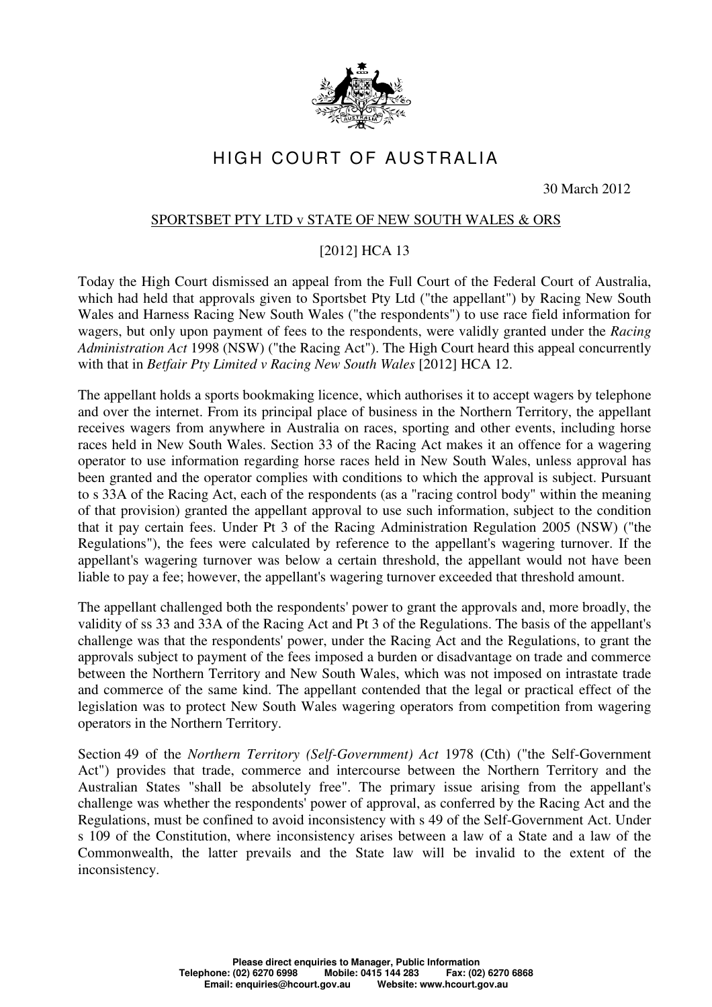

## HIGH COURT OF AUSTRALIA

30 March 2012

## SPORTSBET PTY LTD v STATE OF NEW SOUTH WALES & ORS

## [2012] HCA 13

Today the High Court dismissed an appeal from the Full Court of the Federal Court of Australia, which had held that approvals given to Sportsbet Pty Ltd ("the appellant") by Racing New South Wales and Harness Racing New South Wales ("the respondents") to use race field information for wagers, but only upon payment of fees to the respondents, were validly granted under the *Racing Administration Act* 1998 (NSW) ("the Racing Act"). The High Court heard this appeal concurrently with that in *Betfair Pty Limited v Racing New South Wales* [2012] HCA 12.

The appellant holds a sports bookmaking licence, which authorises it to accept wagers by telephone and over the internet. From its principal place of business in the Northern Territory, the appellant receives wagers from anywhere in Australia on races, sporting and other events, including horse races held in New South Wales. Section 33 of the Racing Act makes it an offence for a wagering operator to use information regarding horse races held in New South Wales, unless approval has been granted and the operator complies with conditions to which the approval is subject. Pursuant to s 33A of the Racing Act, each of the respondents (as a "racing control body" within the meaning of that provision) granted the appellant approval to use such information, subject to the condition that it pay certain fees. Under Pt 3 of the Racing Administration Regulation 2005 (NSW) ("the Regulations"), the fees were calculated by reference to the appellant's wagering turnover. If the appellant's wagering turnover was below a certain threshold, the appellant would not have been liable to pay a fee; however, the appellant's wagering turnover exceeded that threshold amount.

The appellant challenged both the respondents' power to grant the approvals and, more broadly, the validity of ss 33 and 33A of the Racing Act and Pt 3 of the Regulations. The basis of the appellant's challenge was that the respondents' power, under the Racing Act and the Regulations, to grant the approvals subject to payment of the fees imposed a burden or disadvantage on trade and commerce between the Northern Territory and New South Wales, which was not imposed on intrastate trade and commerce of the same kind. The appellant contended that the legal or practical effect of the legislation was to protect New South Wales wagering operators from competition from wagering operators in the Northern Territory.

Section 49 of the *Northern Territory (Self-Government) Act* 1978 (Cth) ("the Self-Government Act") provides that trade, commerce and intercourse between the Northern Territory and the Australian States "shall be absolutely free". The primary issue arising from the appellant's challenge was whether the respondents' power of approval, as conferred by the Racing Act and the Regulations, must be confined to avoid inconsistency with s 49 of the Self-Government Act. Under s 109 of the Constitution, where inconsistency arises between a law of a State and a law of the Commonwealth, the latter prevails and the State law will be invalid to the extent of the inconsistency.